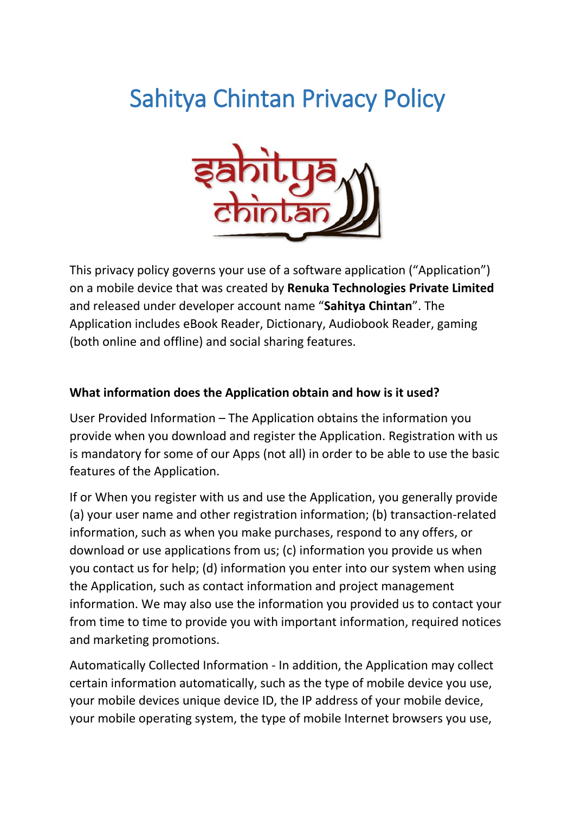# Sahitya Chintan Privacy Policy



This privacy policy governs your use of a software application ("Application") on a mobile device that was created by **Renuka Technologies Private Limited** and released under developer account name "**Sahitya Chintan**". The Application includes eBook Reader, Dictionary, Audiobook Reader, gaming (both online and offline) and social sharing features.

## **What information does the Application obtain and how is it used?**

User Provided Information – The Application obtains the information you provide when you download and register the Application. Registration with us is mandatory for some of our Apps (not all) in order to be able to use the basic features of the Application.

If or When you register with us and use the Application, you generally provide (a) your user name and other registration information; (b) transaction-related information, such as when you make purchases, respond to any offers, or download or use applications from us; (c) information you provide us when you contact us for help; (d) information you enter into our system when using the Application, such as contact information and project management information. We may also use the information you provided us to contact your from time to time to provide you with important information, required notices and marketing promotions.

Automatically Collected Information - In addition, the Application may collect certain information automatically, such as the type of mobile device you use, your mobile devices unique device ID, the IP address of your mobile device, your mobile operating system, the type of mobile Internet browsers you use,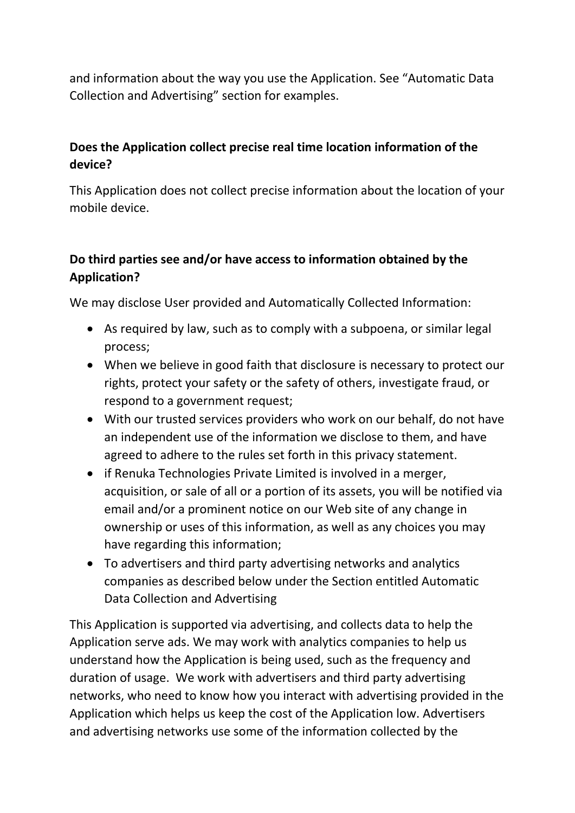and information about the way you use the Application. See "Automatic Data Collection and Advertising" section for examples.

## **Does the Application collect precise real time location information of the device?**

This Application does not collect precise information about the location of your mobile device.

# **Do third parties see and/or have access to information obtained by the Application?**

We may disclose User provided and Automatically Collected Information:

- As required by law, such as to comply with a subpoena, or similar legal process;
- When we believe in good faith that disclosure is necessary to protect our rights, protect your safety or the safety of others, investigate fraud, or respond to a government request;
- With our trusted services providers who work on our behalf, do not have an independent use of the information we disclose to them, and have agreed to adhere to the rules set forth in this privacy statement.
- if Renuka Technologies Private Limited is involved in a merger, acquisition, or sale of all or a portion of its assets, you will be notified via email and/or a prominent notice on our Web site of any change in ownership or uses of this information, as well as any choices you may have regarding this information;
- To advertisers and third party advertising networks and analytics companies as described below under the Section entitled Automatic Data Collection and Advertising

This Application is supported via advertising, and collects data to help the Application serve ads. We may work with analytics companies to help us understand how the Application is being used, such as the frequency and duration of usage. We work with advertisers and third party advertising networks, who need to know how you interact with advertising provided in the Application which helps us keep the cost of the Application low. Advertisers and advertising networks use some of the information collected by the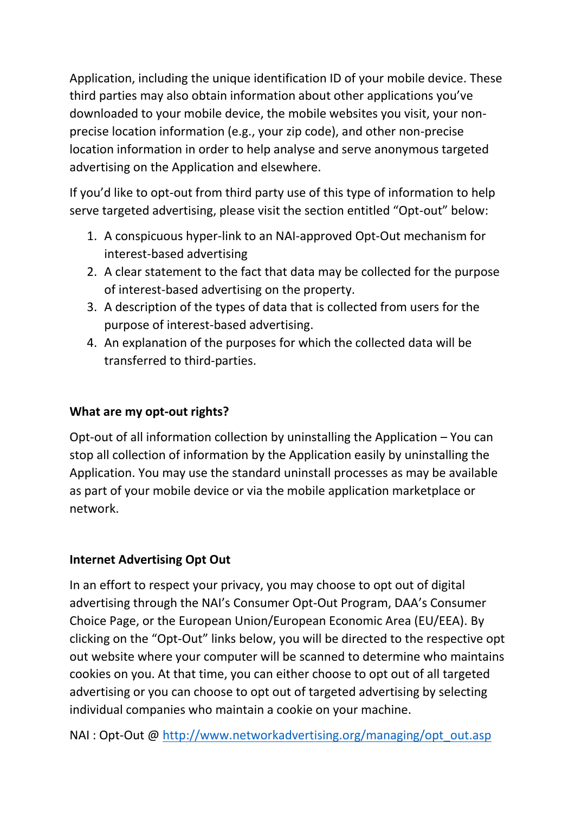Application, including the unique identification ID of your mobile device. These third parties may also obtain information about other applications you've downloaded to your mobile device, the mobile websites you visit, your nonprecise location information (e.g., your zip code), and other non-precise location information in order to help analyse and serve anonymous targeted advertising on the Application and elsewhere.

If you'd like to opt-out from third party use of this type of information to help serve targeted advertising, please visit the section entitled "Opt-out" below:

- 1. A conspicuous hyper-link to an NAI-approved Opt-Out mechanism for interest-based advertising
- 2. A clear statement to the fact that data may be collected for the purpose of interest-based advertising on the property.
- 3. A description of the types of data that is collected from users for the purpose of interest-based advertising.
- 4. An explanation of the purposes for which the collected data will be transferred to third-parties.

## **What are my opt-out rights?**

Opt-out of all information collection by uninstalling the Application – You can stop all collection of information by the Application easily by uninstalling the Application. You may use the standard uninstall processes as may be available as part of your mobile device or via the mobile application marketplace or network.

### **Internet Advertising Opt Out**

In an effort to respect your privacy, you may choose to opt out of digital advertising through the NAI's Consumer Opt-Out Program, DAA's Consumer Choice Page, or the European Union/European Economic Area (EU/EEA). By clicking on the "Opt-Out" links below, you will be directed to the respective opt out website where your computer will be scanned to determine who maintains cookies on you. At that time, you can either choose to opt out of all targeted advertising or you can choose to opt out of targeted advertising by selecting individual companies who maintain a cookie on your machine.

NAI : Opt-Out @ [http://www.networkadvertising.org/managing/opt\\_out.asp](http://www.networkadvertising.org/managing/opt_out.asp)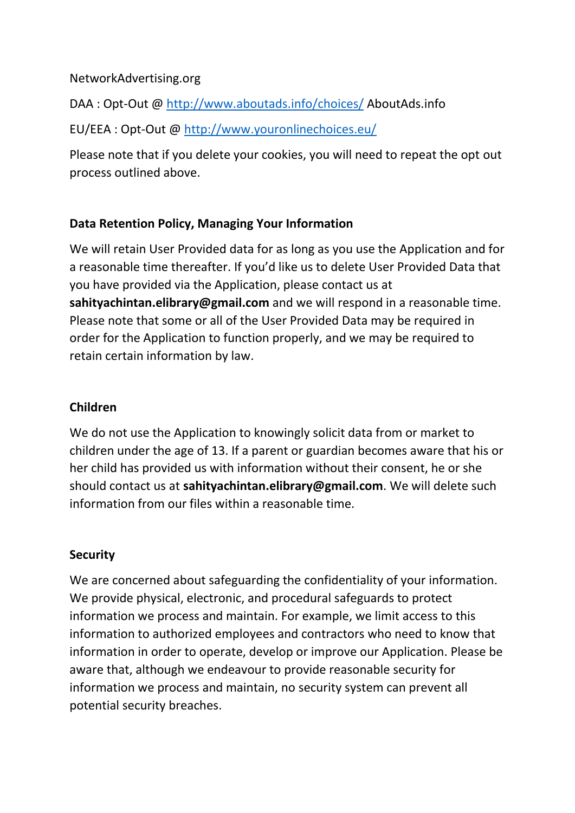#### NetworkAdvertising.org

DAA : Opt-Out @<http://www.aboutads.info/choices/> AboutAds.info

EU/EEA : Opt-Out @<http://www.youronlinechoices.eu/>

Please note that if you delete your cookies, you will need to repeat the opt out process outlined above.

### **Data Retention Policy, Managing Your Information**

We will retain User Provided data for as long as you use the Application and for a reasonable time thereafter. If you'd like us to delete User Provided Data that you have provided via the Application, please contact us at **sahityachintan.elibrary@gmail.com** and we will respond in a reasonable time. Please note that some or all of the User Provided Data may be required in order for the Application to function properly, and we may be required to retain certain information by law.

#### **Children**

We do not use the Application to knowingly solicit data from or market to children under the age of 13. If a parent or guardian becomes aware that his or her child has provided us with information without their consent, he or she should contact us at **sahityachintan.elibrary@gmail.com**. We will delete such information from our files within a reasonable time.

#### **Security**

We are concerned about safeguarding the confidentiality of your information. We provide physical, electronic, and procedural safeguards to protect information we process and maintain. For example, we limit access to this information to authorized employees and contractors who need to know that information in order to operate, develop or improve our Application. Please be aware that, although we endeavour to provide reasonable security for information we process and maintain, no security system can prevent all potential security breaches.